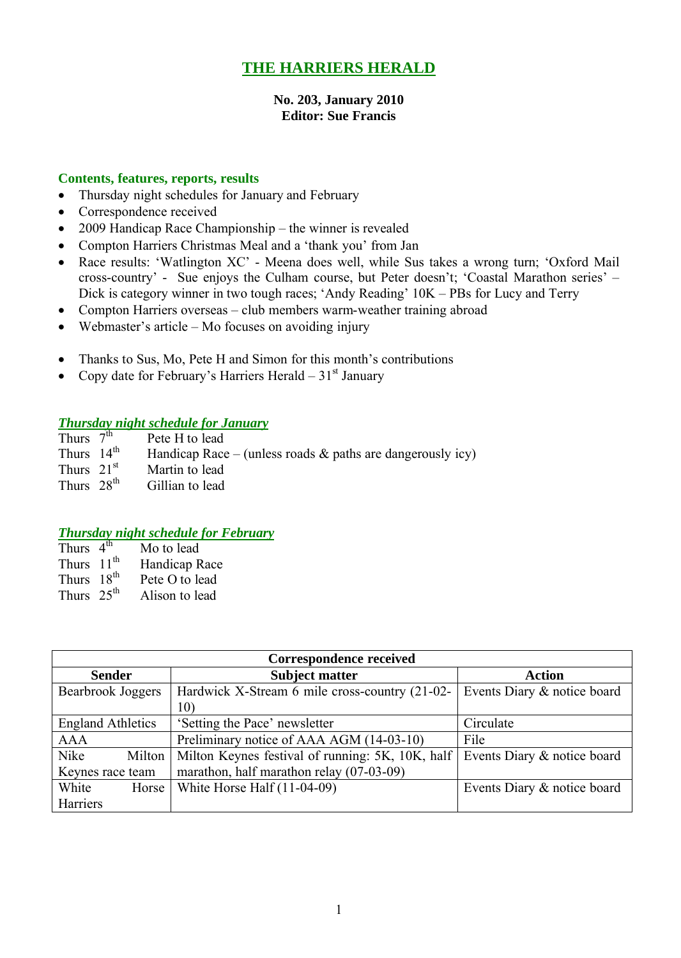# **THE HARRIERS HERALD**

#### **No. 203, January 2010 Editor: Sue Francis**

#### **Contents, features, reports, results**

- Thursday night schedules for January and February
- Correspondence received
- 2009 Handicap Race Championship the winner is revealed
- Compton Harriers Christmas Meal and a 'thank you' from Jan
- Race results: 'Watlington XC' Meena does well, while Sus takes a wrong turn; 'Oxford Mail cross-country' - Sue enjoys the Culham course, but Peter doesn't; 'Coastal Marathon series' – Dick is category winner in two tough races; 'Andy Reading' 10K – PBs for Lucy and Terry
- Compton Harriers overseas club members warm-weather training abroad
- $\bullet$  Webmaster's article Mo focuses on avoiding injury
- Thanks to Sus, Mo, Pete H and Simon for this month's contributions
- Copy date for February's Harriers Herald  $31<sup>st</sup>$  January

### *Thursday night schedule for January*

| Thurs $7th$            | Pete H to lead                                                |
|------------------------|---------------------------------------------------------------|
| Thurs $14^{\text{th}}$ | Handicap Race – (unless roads $\&$ paths are dangerously icy) |
| Thurs $21st$           | Martin to lead                                                |
| Thurs $28th$           | Gillian to lead                                               |

### *Thursday night schedule for February*

| Thurs $4th$            | Mo to lead     |
|------------------------|----------------|
| Thurs 11 <sup>th</sup> | Handicap Race  |
| Thurs 18 <sup>th</sup> | Pete O to lead |
| Thurs $25th$           | Alison to lead |

| Correspondence received  |                                                  |                             |  |  |  |  |  |
|--------------------------|--------------------------------------------------|-----------------------------|--|--|--|--|--|
| <b>Sender</b>            | <b>Subject matter</b>                            | <b>Action</b>               |  |  |  |  |  |
| Bearbrook Joggers        | Hardwick X-Stream 6 mile cross-country (21-02-   | Events Diary & notice board |  |  |  |  |  |
|                          | 10)                                              |                             |  |  |  |  |  |
| <b>England Athletics</b> | 'Setting the Pace' newsletter                    | Circulate                   |  |  |  |  |  |
| <b>AAA</b>               | Preliminary notice of AAA AGM (14-03-10)         | File                        |  |  |  |  |  |
| Nike<br>Milton           | Milton Keynes festival of running: 5K, 10K, half | Events Diary & notice board |  |  |  |  |  |
| Keynes race team         | marathon, half marathon relay (07-03-09)         |                             |  |  |  |  |  |
| White<br>Horse           | White Horse Half $(11-04-09)$                    | Events Diary & notice board |  |  |  |  |  |
| Harriers                 |                                                  |                             |  |  |  |  |  |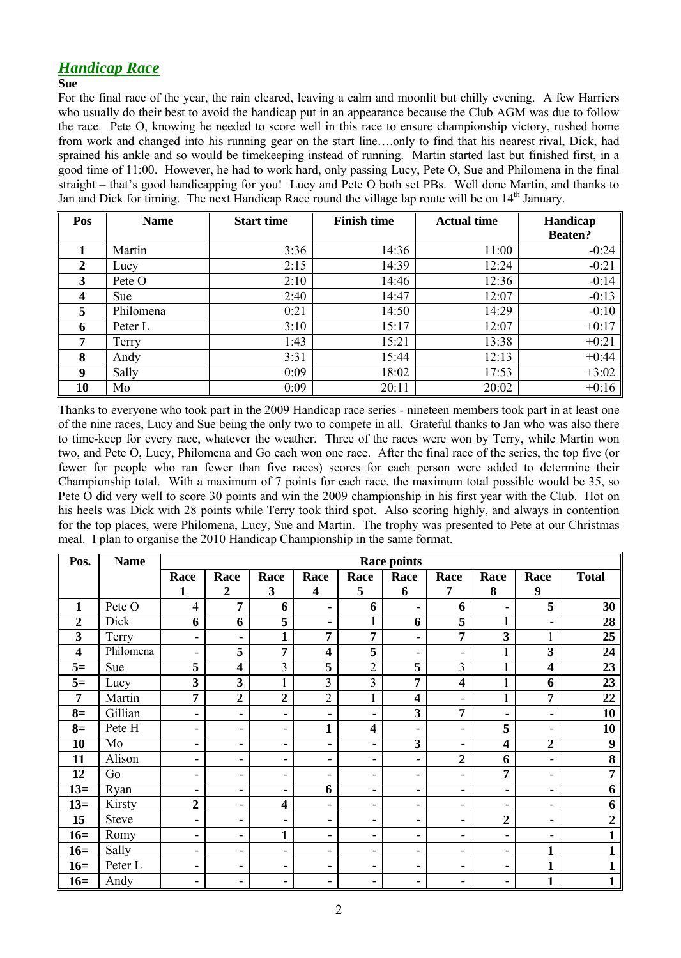## *Handicap Race*

#### **Sue**

For the final race of the year, the rain cleared, leaving a calm and moonlit but chilly evening. A few Harriers who usually do their best to avoid the handicap put in an appearance because the Club AGM was due to follow the race. Pete O, knowing he needed to score well in this race to ensure championship victory, rushed home from work and changed into his running gear on the start line….only to find that his nearest rival, Dick, had sprained his ankle and so would be timekeeping instead of running. Martin started last but finished first, in a good time of 11:00. However, he had to work hard, only passing Lucy, Pete O, Sue and Philomena in the final straight – that's good handicapping for you! Lucy and Pete O both set PBs. Well done Martin, and thanks to Jan and Dick for timing. The next Handicap Race round the village lap route will be on  $14<sup>th</sup>$  January.

| Pos | <b>Name</b> | <b>Start time</b> | <b>Finish time</b> | <b>Actual time</b> | Handicap       |  |
|-----|-------------|-------------------|--------------------|--------------------|----------------|--|
|     |             |                   |                    |                    | <b>Beaten?</b> |  |
| 1   | Martin      | 3:36              | 14:36              | 11:00              | $-0:24$        |  |
| 2   | Lucy        | 2:15              | 14:39              | 12:24              | $-0:21$        |  |
| 3   | Pete O      | 2:10              | 14:46              | 12:36              | $-0:14$        |  |
| 4   | Sue         | 2:40              | 14:47              | 12:07              | $-0:13$        |  |
| 5   | Philomena   | 0:21              | 14:50              | 14:29              | $-0:10$        |  |
| 6   | Peter L     | 3:10              | 15:17              | 12:07              | $+0:17$        |  |
| 7   | Terry       | 1:43              | 15:21              | 13:38              | $+0:21$        |  |
| 8   | Andy        | 3:31              | 15:44              | 12:13              | $+0:44$        |  |
| 9   | Sally       | 0:09              | 18:02              | 17:53              | $+3:02$        |  |
| 10  | Mo          | 0:09              | 20:11              | 20:02              | $+0:16$        |  |

Thanks to everyone who took part in the 2009 Handicap race series - nineteen members took part in at least one of the nine races, Lucy and Sue being the only two to compete in all. Grateful thanks to Jan who was also there to time-keep for every race, whatever the weather. Three of the races were won by Terry, while Martin won two, and Pete O, Lucy, Philomena and Go each won one race. After the final race of the series, the top five (or fewer for people who ran fewer than five races) scores for each person were added to determine their Championship total. With a maximum of 7 points for each race, the maximum total possible would be 35, so Pete O did very well to score 30 points and win the 2009 championship in his first year with the Club. Hot on his heels was Dick with 28 points while Terry took third spot. Also scoring highly, and always in contention for the top places, were Philomena, Lucy, Sue and Martin. The trophy was presented to Pete at our Christmas meal. I plan to organise the 2010 Handicap Championship in the same format.

| Pos.                    | <b>Name</b>  | <b>Race points</b>       |                          |                          |                          |                         |                          |                              |                          |                              |                  |
|-------------------------|--------------|--------------------------|--------------------------|--------------------------|--------------------------|-------------------------|--------------------------|------------------------------|--------------------------|------------------------------|------------------|
|                         |              | Race                     | Race                     | Race                     | Race                     | Race                    | Race                     | Race                         | Race                     | Race                         | <b>Total</b>     |
|                         |              | 1                        | $\boldsymbol{2}$         | 3                        | $\overline{\mathbf{4}}$  | 5                       | 6                        | 7                            | 8                        | 9                            |                  |
| $\mathbf{1}$            | Pete O       | $\overline{4}$           | $\overline{7}$           | 6                        | ۰                        | 6                       | ۰                        | 6                            | $\blacksquare$           | 5                            | 30               |
| $\boldsymbol{2}$        | Dick         | 6                        | 6                        | 5                        | ۰                        | 1                       | 6                        | 5                            | $\mathbf{1}$             | $\qquad \qquad \blacksquare$ | 28               |
| 3                       | Terry        | $\overline{\phantom{a}}$ | Ξ.                       | $\mathbf{1}$             | $\overline{7}$           | $\overline{7}$          | ۰                        | 7                            | 3                        |                              | 25               |
| $\overline{\mathbf{4}}$ | Philomena    | $\overline{\phantom{a}}$ | 5                        | $\overline{7}$           | $\overline{\mathbf{4}}$  | 5                       | ۰                        | ۰                            | $\mathbf{1}$             | $\overline{\mathbf{3}}$      | 24               |
| $5=$                    | Sue          | 5                        | $\overline{\mathbf{4}}$  | 3                        | 5                        | $\overline{2}$          | 5                        | 3                            | $\mathbf{1}$             | $\overline{\mathbf{4}}$      | 23               |
| $5=$                    | Lucy         | 3                        | $\overline{\mathbf{3}}$  | $\mathbf{1}$             | 3                        | 3                       | 7                        | $\overline{\mathbf{4}}$      | $\mathbf{1}$             | 6                            | 23               |
| 7                       | Martin       | 7                        | $\overline{2}$           | $\overline{2}$           | $\overline{2}$           | 1                       | $\overline{\mathbf{4}}$  | ۰                            | $\mathbf{1}$             | 7                            | 22               |
| $8=$                    | Gillian      | $\overline{a}$           | $\overline{\phantom{0}}$ | $\blacksquare$           | -                        | Ξ.                      | $\overline{\mathbf{3}}$  | 7                            | $\blacksquare$           | -                            | 10               |
| $8=$                    | Pete H       | ۰                        | $\overline{\phantom{a}}$ | $\overline{\phantom{a}}$ | $\mathbf{1}$             | $\overline{\mathbf{4}}$ | ۰                        | -                            | 5                        | -                            | 10               |
| 10                      | Mo           | $\overline{\phantom{a}}$ | Ξ.                       | $\blacksquare$           | Ξ.                       | Ξ.                      | 3                        | ۰                            | $\overline{\mathbf{4}}$  | $\overline{2}$               | $\boldsymbol{9}$ |
| 11                      | Alison       | $\overline{\phantom{a}}$ | -                        | $\overline{\phantom{a}}$ | $\overline{\phantom{a}}$ | Ξ.                      | $\overline{\phantom{a}}$ | $\boldsymbol{2}$             | 6                        | -                            | 8                |
| 12                      | Go           | ۰                        | -                        | $\overline{\phantom{a}}$ | ۰                        | -                       | $\overline{\phantom{a}}$ | -                            | 7                        | $\overline{\phantom{a}}$     | 7                |
| $13=$                   | Ryan         | $\overline{\phantom{a}}$ | -                        | $\overline{\phantom{a}}$ | 6                        | Ξ.                      | $\blacksquare$           | $\qquad \qquad \blacksquare$ | $\overline{\phantom{a}}$ | $\qquad \qquad \blacksquare$ | 6                |
| $13=$                   | Kirsty       | $\boldsymbol{2}$         | Ξ.                       | $\overline{\mathbf{4}}$  | Ξ.                       | Ξ.                      | $\overline{\phantom{a}}$ | $\qquad \qquad \blacksquare$ | $\blacksquare$           | ٠                            | 6                |
| 15                      | <b>Steve</b> | $\overline{\phantom{a}}$ | Ξ.                       | $\blacksquare$           | ۰                        | -                       | $\overline{\phantom{a}}$ | ۰                            | $\overline{2}$           | $\overline{\phantom{a}}$     | $\boldsymbol{2}$ |
| $16=$                   | Romy         | ۰                        | ۰                        | $\mathbf{1}$             | ۰                        | -                       | $\overline{\phantom{a}}$ | -                            | $\overline{\phantom{a}}$ | -                            | $\mathbf{1}$     |
| $16=$                   | Sally        | $\overline{\phantom{a}}$ | ۰                        | $\blacksquare$           | ۰                        | Ξ.                      | -                        | ٠                            | $\blacksquare$           | $\mathbf{1}$                 | $\mathbf{1}$     |
| $16=$                   | Peter L      | $\overline{\phantom{a}}$ | ۰                        | $\blacksquare$           | ۰                        | Ξ.                      | $\overline{\phantom{a}}$ | $\qquad \qquad \blacksquare$ | $\overline{\phantom{a}}$ | $\mathbf{1}$                 | $\mathbf{1}$     |
| $16=$                   | Andy         | $\overline{\phantom{a}}$ | ۰                        | $\overline{\phantom{a}}$ | -                        | Ξ.                      | $\overline{\phantom{a}}$ | $\qquad \qquad \blacksquare$ | $\overline{\phantom{a}}$ | $\mathbf{1}$                 | $\mathbf{1}$     |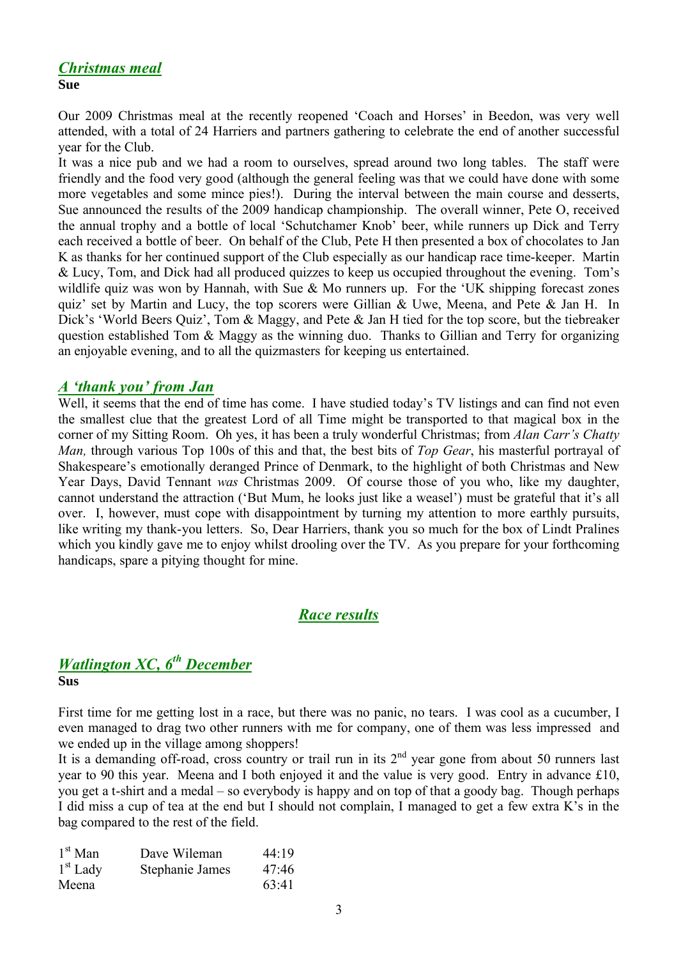# *Christmas meal*

**Sue**

Our 2009 Christmas meal at the recently reopened 'Coach and Horses' in Beedon, was very well attended, with a total of 24 Harriers and partners gathering to celebrate the end of another successful year for the Club.

It was a nice pub and we had a room to ourselves, spread around two long tables. The staff were friendly and the food very good (although the general feeling was that we could have done with some more vegetables and some mince pies!). During the interval between the main course and desserts, Sue announced the results of the 2009 handicap championship. The overall winner, Pete O, received the annual trophy and a bottle of local 'Schutchamer Knob' beer, while runners up Dick and Terry each received a bottle of beer. On behalf of the Club, Pete H then presented a box of chocolates to Jan K as thanks for her continued support of the Club especially as our handicap race time-keeper. Martin & Lucy, Tom, and Dick had all produced quizzes to keep us occupied throughout the evening. Tom's wildlife quiz was won by Hannah, with Sue & Mo runners up. For the 'UK shipping forecast zones quiz' set by Martin and Lucy, the top scorers were Gillian & Uwe, Meena, and Pete & Jan H. In Dick's 'World Beers Quiz', Tom & Maggy, and Pete & Jan H tied for the top score, but the tiebreaker question established Tom & Maggy as the winning duo. Thanks to Gillian and Terry for organizing an enjoyable evening, and to all the quizmasters for keeping us entertained.

### *A 'thank you' from Jan*

Well, it seems that the end of time has come. I have studied today's TV listings and can find not even the smallest clue that the greatest Lord of all Time might be transported to that magical box in the corner of my Sitting Room. Oh yes, it has been a truly wonderful Christmas; from *Alan Carr's Chatty Man,* through various Top 100s of this and that, the best bits of *Top Gear*, his masterful portrayal of Shakespeare's emotionally deranged Prince of Denmark, to the highlight of both Christmas and New Year Days, David Tennant *was* Christmas 2009. Of course those of you who, like my daughter, cannot understand the attraction ('But Mum, he looks just like a weasel') must be grateful that it's all over. I, however, must cope with disappointment by turning my attention to more earthly pursuits, like writing my thank-you letters. So, Dear Harriers, thank you so much for the box of Lindt Pralines which you kindly gave me to enjoy whilst drooling over the TV. As you prepare for your forthcoming handicaps, spare a pitying thought for mine.

## *Race results*

### *Watlington XC, 6 th December* **Sus**

First time for me getting lost in a race, but there was no panic, no tears. I was cool as a cucumber, I even managed to drag two other runners with me for company, one of them was less impressed and we ended up in the village among shoppers!

It is a demanding off-road, cross country or trail run in its  $2<sup>nd</sup>$  year gone from about 50 runners last year to 90 this year. Meena and I both enjoyed it and the value is very good. Entry in advance  $£10$ , you get a t-shirt and a medal – so everybody is happy and on top of that a goody bag. Though perhaps I did miss a cup of tea at the end but I should not complain, I managed to get a few extra K's in the bag compared to the rest of the field.

| $1st$ Man  | Dave Wileman    | 44:19 |
|------------|-----------------|-------|
| $1st$ Lady | Stephanie James | 47:46 |
| Meena      |                 | 63:41 |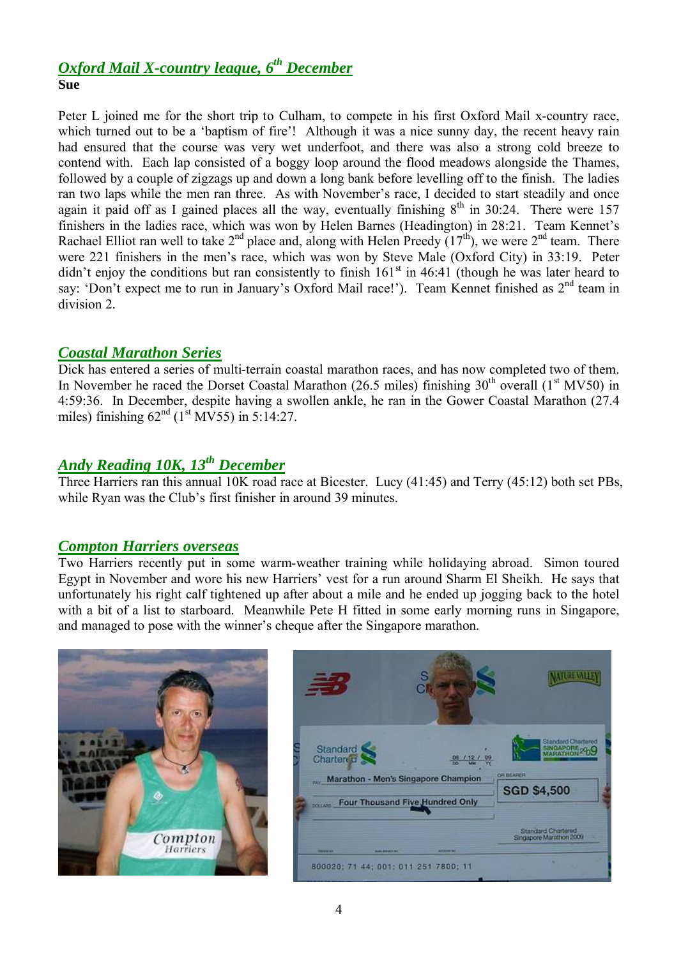### *Oxford Mail X-country league, 6 th December* **Sue**

Peter L joined me for the short trip to Culham, to compete in his first Oxford Mail x-country race, which turned out to be a 'baptism of fire'! Although it was a nice sunny day, the recent heavy rain had ensured that the course was very wet underfoot, and there was also a strong cold breeze to contend with. Each lap consisted of a boggy loop around the flood meadows alongside the Thames, followed by a couple of zigzags up and down a long bank before levelling off to the finish. The ladies ran two laps while the men ran three. As with November's race, I decided to start steadily and once again it paid off as I gained places all the way, eventually finishing  $8<sup>th</sup>$  in 30:24. There were 157 finishers in the ladies race, which was won by Helen Barnes (Headington) in 28:21. Team Kennet's Rachael Elliot ran well to take  $2^{nd}$  place and, along with Helen Preedy  $(17^{th})$ , we were  $2^{nd}$  team. There were 221 finishers in the men's race, which was won by Steve Male (Oxford City) in 33:19. Peter didn't enjoy the conditions but ran consistently to finish  $161<sup>st</sup>$  in 46:41 (though he was later heard to say: 'Don't expect me to run in January's Oxford Mail race!'). Team Kennet finished as 2<sup>nd</sup> team in division 2.

## *Coastal Marathon Series*

Dick has entered a series of multi-terrain coastal marathon races, and has now completed two of them. In November he raced the Dorset Coastal Marathon (26.5 miles) finishing  $30<sup>th</sup>$  overall (1<sup>st</sup> MV50) in 4:59:36. In December, despite having a swollen ankle, he ran in the Gower Coastal Marathon (27.4 miles) finishing  $62^{nd}$  (1<sup>st</sup> MV55) in 5:14:27.

# *Andy Reading 10K, 13th December*

Three Harriers ran this annual 10K road race at Bicester. Lucy (41:45) and Terry (45:12) both set PBs, while Ryan was the Club's first finisher in around 39 minutes.

### *Compton Harriers overseas*

Two Harriers recently put in some warm-weather training while holidaying abroad. Simon toured Egypt in November and wore his new Harriers' vest for a run around Sharm El Sheikh. He says that unfortunately his right calf tightened up after about a mile and he ended up jogging back to the hotel with a bit of a list to starboard. Meanwhile Pete H fitted in some early morning runs in Singapore, and managed to pose with the winner's cheque after the Singapore marathon.



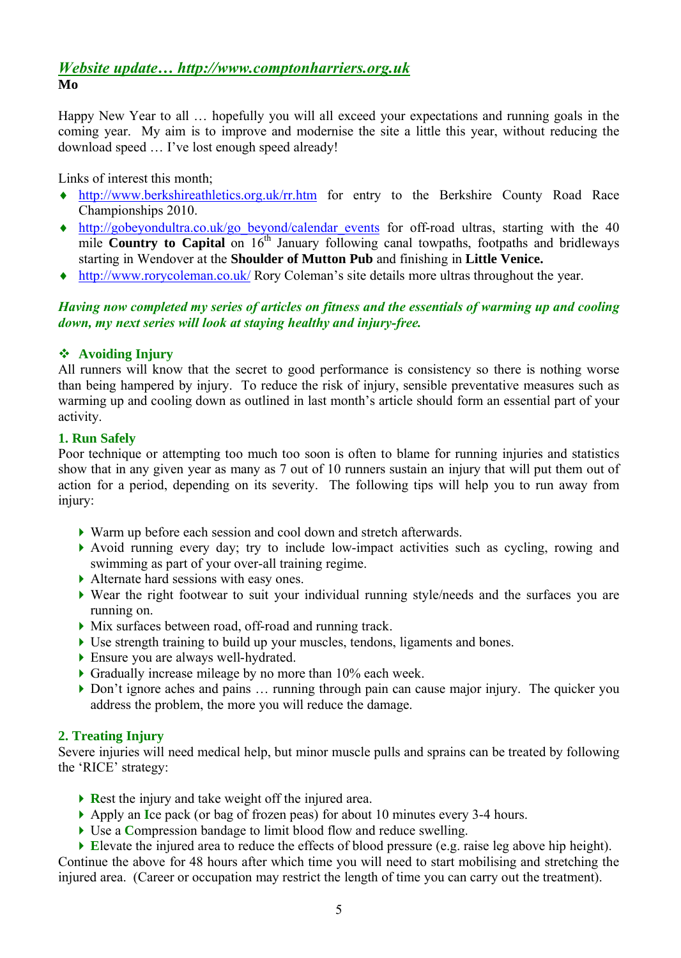### *Website update… http://www.comptonharriers.org.uk* **Mo**

Happy New Year to all … hopefully you will all exceed your expectations and running goals in the coming year. My aim is to improve and modernise the site a little this year, without reducing the download speed … I've lost enough speed already!

Links of interest this month;

- http://www.berkshireathletics.org.uk/rr.htm for entry to the Berkshire County Road Race Championships 2010.
- http://gobeyondultra.co.uk/go\_beyond/calendar\_events for off-road ultras, starting with the 40 mile **Country to Capital** on 16<sup>th</sup> January following canal towpaths, footpaths and bridleways starting in Wendover at the **Shoulder of Mutton Pub** and finishing in **Little Venice.**
- http://www.rorycoleman.co.uk/ Rory Coleman's site details more ultras throughout the year.

#### *Having now completed my series of articles on fitness and the essentials of warming up and cooling down, my next series will look at staying healthy and injury-free.*

#### **Avoiding Injury**

All runners will know that the secret to good performance is consistency so there is nothing worse than being hampered by injury. To reduce the risk of injury, sensible preventative measures such as warming up and cooling down as outlined in last month's article should form an essential part of your activity.

#### **1. Run Safely**

Poor technique or attempting too much too soon is often to blame for running injuries and statistics show that in any given year as many as 7 out of 10 runners sustain an injury that will put them out of action for a period, depending on its severity. The following tips will help you to run away from injury:

- Warm up before each session and cool down and stretch afterwards.
- Avoid running every day; try to include low-impact activities such as cycling, rowing and swimming as part of your over-all training regime.
- Alternate hard sessions with easy ones.
- Wear the right footwear to suit your individual running style/needs and the surfaces you are running on.
- Mix surfaces between road, off-road and running track.
- Use strength training to build up your muscles, tendons, ligaments and bones.
- Ensure you are always well-hydrated.
- Gradually increase mileage by no more than 10% each week.
- Don't ignore aches and pains ... running through pain can cause major injury. The quicker you address the problem, the more you will reduce the damage.

### **2. Treating Injury**

Severe injuries will need medical help, but minor muscle pulls and sprains can be treated by following the 'RICE' strategy:

- **Rest the injury and take weight off the injured area.**
- Apply an **I**ce pack (or bag of frozen peas) for about 10 minutes every 3-4 hours.
- Use a **C**ompression bandage to limit blood flow and reduce swelling.
- **E**levate the injured area to reduce the effects of blood pressure (e.g. raise leg above hip height). Continue the above for 48 hours after which time you will need to start mobilising and stretching the

injured area. (Career or occupation may restrict the length of time you can carry out the treatment).